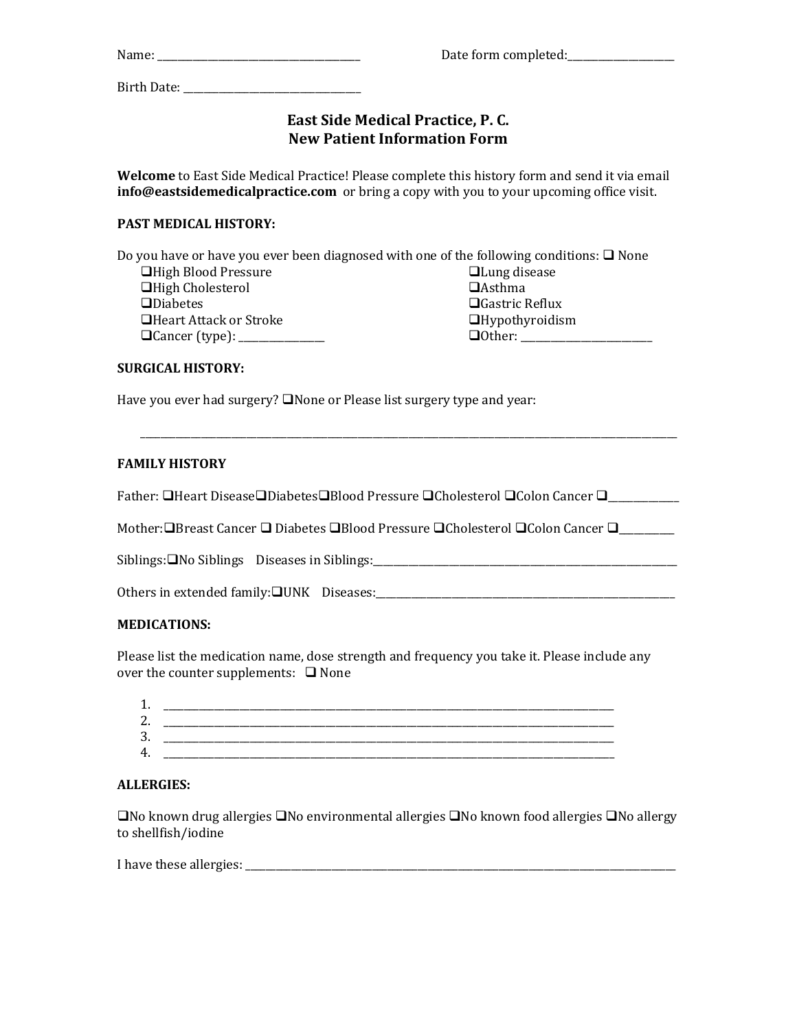| Name: | Date form completed: |  |
|-------|----------------------|--|
|       |                      |  |

Birth Date: \_\_\_\_\_\_\_\_\_\_\_\_\_\_\_\_\_\_\_\_\_\_\_\_\_\_\_\_\_\_\_\_\_\_\_

# **East Side Medical Practice, P. C. New Patient Information Form**

**Welcome** to East Side Medical Practice! Please complete this history form and send it via email **info@eastsidemedicalpractice.com** or bring a copy with you to your upcoming office visit.

# **PAST MEDICAL HISTORY:**

Do you have or have you ever been diagnosed with one of the following conditions:  $\Box$  None **■High Blood Pressure □High Cholesterol □Diabetes** ■Heart Attack or Stroke **QCancer (type): \_\_\_\_\_\_\_\_\_\_\_\_\_ Q**Lung disease **O**Asthma ■Gastric Reflux  $\Box$ Hypothyroidism Other: \_\_\_\_\_\_\_\_\_\_\_\_\_\_\_\_\_\_\_\_\_\_\_\_\_\_

### **SURGICAL HISTORY:**

Have you ever had surgery?  $\square$  None or Please list surgery type and year:

### **FAMILY HISTORY**

Father: □Heart Disease□Diabetes□Blood Pressure □Cholesterol □Colon Cancer □

\_\_\_\_\_\_\_\_\_\_\_\_\_\_\_\_\_\_\_\_\_\_\_\_\_\_\_\_\_\_\_\_\_\_\_\_\_\_\_\_\_\_\_\_\_\_\_\_\_\_\_\_\_\_\_\_\_\_\_\_\_\_\_\_\_\_\_\_\_\_\_\_\_\_\_\_\_\_\_\_\_\_\_\_\_\_\_\_\_\_\_\_\_\_\_\_\_\_\_\_\_\_\_\_\_\_

Mother: $\Box$ Breast Cancer  $\Box$  Diabetes  $\Box$ Blood Pressure  $\Box$ Cholesterol  $\Box$ Colon Cancer  $\Box$ 

Siblings:No Siblings Diseases in Siblings:\_\_\_\_\_\_\_\_\_\_\_\_\_\_\_\_\_\_\_\_\_\_\_\_\_\_\_\_\_\_\_\_\_\_\_\_\_\_\_\_\_\_\_\_\_\_\_\_\_\_\_\_\_\_\_\_\_\_\_\_

Others in extended family:UNK Diseases:\_\_\_\_\_\_\_\_\_\_\_\_\_\_\_\_\_\_\_\_\_\_\_\_\_\_\_\_\_\_\_\_\_\_\_\_\_\_\_\_\_\_\_\_\_\_\_\_\_\_\_\_\_\_\_\_\_\_\_

### **MEDICATIONS:**

Please list the medication name, dose strength and frequency you take it. Please include any over the counter supplements:  $\Box$  None

### **ALLERGIES:**

 $\Box$ No known drug allergies  $\Box$ No environmental allergies  $\Box$ No known food allergies  $\Box$ No allergy to shellfish/iodine

I have these allergies: \_\_\_\_\_\_\_\_\_\_\_\_\_\_\_\_\_\_\_\_\_\_\_\_\_\_\_\_\_\_\_\_\_\_\_\_\_\_\_\_\_\_\_\_\_\_\_\_\_\_\_\_\_\_\_\_\_\_\_\_\_\_\_\_\_\_\_\_\_\_\_\_\_\_\_\_\_\_\_\_\_\_\_\_\_